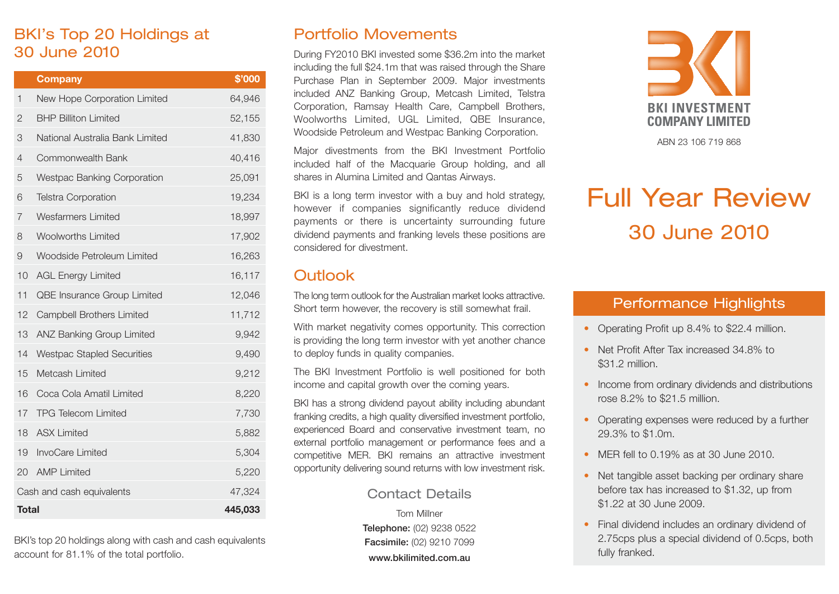# BKI's Top 20 Holdings at 30 June 2010

|                                     | <b>Company</b>                     | \$'000 |
|-------------------------------------|------------------------------------|--------|
| 1                                   | New Hope Corporation Limited       | 64,946 |
| 2                                   | <b>BHP Billiton Limited</b>        | 52,155 |
| 3                                   | National Australia Bank Limited    | 41,830 |
| $\overline{4}$                      | Commonwealth Bank                  | 40,416 |
| 5                                   | <b>Westpac Banking Corporation</b> | 25,091 |
| 6                                   | <b>Telstra Corporation</b>         | 19,234 |
| 7                                   | <b>Wesfarmers Limited</b>          | 18,997 |
| 8                                   | <b>Woolworths Limited</b>          | 17,902 |
| 9                                   | Woodside Petroleum Limited         | 16,263 |
| 10                                  | <b>AGL Energy Limited</b>          | 16,117 |
| 11                                  | QBE Insurance Group Limited        | 12,046 |
| 12                                  | <b>Campbell Brothers Limited</b>   | 11,712 |
| 13                                  | <b>ANZ Banking Group Limited</b>   | 9,942  |
| 14                                  | <b>Westpac Stapled Securities</b>  | 9,490  |
| 15                                  | Metcash Limited                    | 9,212  |
| 16                                  | Coca Cola Amatil Limited           | 8,220  |
| 17                                  | <b>TPG Telecom Limited</b>         | 7,730  |
| 18                                  | <b>ASX Limited</b>                 | 5,882  |
| 19                                  | InvoCare Limited                   | 5,304  |
| 20                                  | <b>AMP Limited</b>                 | 5,220  |
| Cash and cash equivalents<br>47,324 |                                    |        |
| <b>Total</b><br>445,033             |                                    |        |

BKI's top 20 holdings along with cash and cash equivalents account for 81.1% of the total portfolio.

## Portfolio Movements

During FY2010 BKI invested some \$36.2m into the market including the full \$24.1m that was raised through the Share Purchase Plan in September 2009. Major investments included ANZ Banking Group, Metcash Limited, Telstra Corporation, Ramsay Health Care, Campbell Brothers, Woolworths Limited, UGL Limited, QBE Insurance, Woodside Petroleum and Westpac Banking Corporation.

Major divestments from the BKI Investment Portfolio included half of the Macquarie Group holding, and all shares in Alumina Limited and Qantas Airways.

BKI is a long term investor with a buy and hold strategy, however if companies significantly reduce dividend payments or there is uncertainty surrounding future dividend payments and franking levels these positions are considered for divestment.

### **Outlook**

The long term outlook for the Australian market looks attractive. Short term however, the recovery is still somewhat frail.

With market negativity comes opportunity. This correction is providing the long term investor with yet another chance to deploy funds in quality companies.

The BKI Investment Portfolio is well positioned for both income and capital growth over the coming years.

BKI has a strong dividend payout ability including abundant franking credits, a high quality diversified investment portfolio, experienced Board and conservative investment team, no external portfolio management or performance fees and a competitive MER. BKI remains an attractive investment opportunity delivering sound returns with low investment risk.

### Contact Details

Tom Millner **Telephone:** (02) 9238 0522 **Facsimile:** (02) 9210 7099 **www.bkilimited.com.au**



ABN 23 106 719 868

# Full Year Review 30 June 2010

### Performance Highlights

- Operating Profit up 8.4% to \$22.4 million.
- Net Profit After Tax increased 34.8% to \$31.2 million.
- Income from ordinary dividends and distributions rose 8.2% to \$21.5 million.
- Operating expenses were reduced by a further 29.3% to \$1.0m.
- MER fell to 0.19% as at 30 June 2010.
- Net tangible asset backing per ordinary share before tax has increased to \$1.32, up from \$1.22 at 30 June 2009.
- Final dividend includes an ordinary dividend of 2.75cps plus a special dividend of 0.5cps, both fully franked.